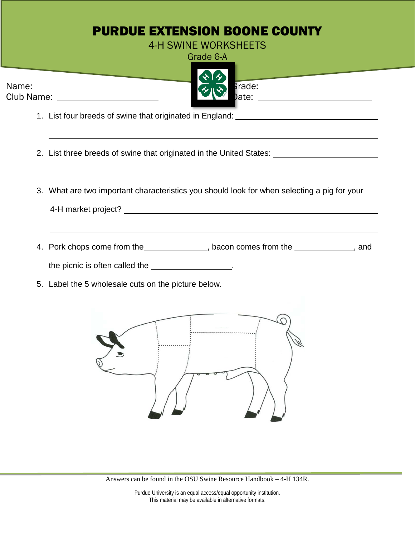| <b>PURDUE EXTENSION BOONE COUNTY</b><br><b>4-H SWINE WORKSHEETS</b>                                                                                                                                                                                                                                                                                                                                                                                                                                                                                  |
|------------------------------------------------------------------------------------------------------------------------------------------------------------------------------------------------------------------------------------------------------------------------------------------------------------------------------------------------------------------------------------------------------------------------------------------------------------------------------------------------------------------------------------------------------|
| Grade 6-A                                                                                                                                                                                                                                                                                                                                                                                                                                                                                                                                            |
| <u>a sa salaman sa sala</u><br><b>Contract Contract Contract Contract Contract</b><br>$\frac{1}{2}$ and $\frac{1}{2}$ and $\frac{1}{2}$ and $\frac{1}{2}$ and $\frac{1}{2}$ and $\frac{1}{2}$ and $\frac{1}{2}$ and $\frac{1}{2}$ and $\frac{1}{2}$ and $\frac{1}{2}$ and $\frac{1}{2}$ and $\frac{1}{2}$ and $\frac{1}{2}$ and $\frac{1}{2}$ and $\frac{1}{2}$ and $\frac{1}{2}$ a<br>Club Name: _________________________<br>)ate: __________________________<br>1. List four breeds of swine that originated in England: ________________________ |
|                                                                                                                                                                                                                                                                                                                                                                                                                                                                                                                                                      |
| <u> 1989 - Andrea Andrew Maria (h. 1989).</u><br>2. List three breeds of swine that originated in the United States: ___________________                                                                                                                                                                                                                                                                                                                                                                                                             |
| 3. What are two important characteristics you should look for when selecting a pig for your                                                                                                                                                                                                                                                                                                                                                                                                                                                          |
| 4. Pork chops come from the_______________, bacon comes from the ____________, and<br>the picnic is often called the __________________.                                                                                                                                                                                                                                                                                                                                                                                                             |
| 5. Label the 5 wholesale cuts on the picture below.                                                                                                                                                                                                                                                                                                                                                                                                                                                                                                  |
|                                                                                                                                                                                                                                                                                                                                                                                                                                                                                                                                                      |

Answers can be found in the OSU Swine Resource Handbook – 4-H 134R.

Purdue University is an equal access/equal opportunity institution. This material may be available in alternative formats.